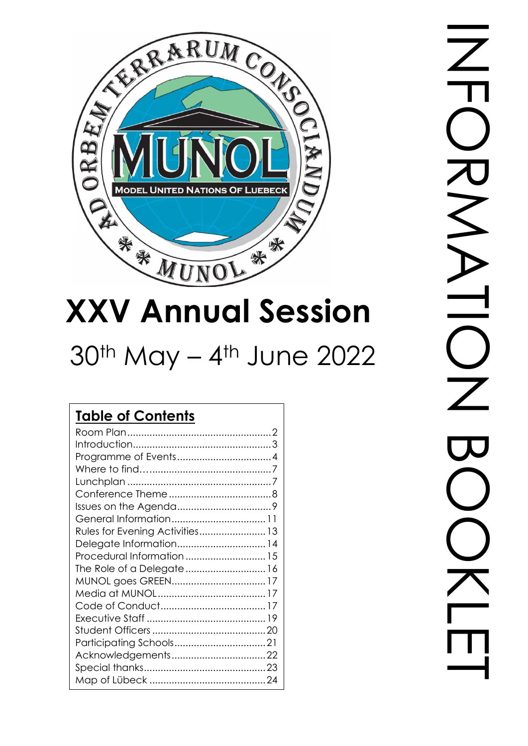

# **XXV Annual Session**

## $30<sup>th</sup>$  May – 4<sup>th</sup> June 2022

#### **Table of Contents** [Room Plan....................................................2](#page-1-0) [Introduction..................................................3](#page-2-0) [Programme of Events..................................4](#page-3-0) Where to find…[............................................7](#page-6-0) Lunchplan [....................................................7](#page-6-1) [Conference Theme.....................................8](#page-7-0) [Issues on the Agenda..................................9](#page-8-0) [General Information..................................11](#page-10-0) [Rules for Evening Activities........................13](#page-12-0) [Delegate Information................................14](#page-13-0) [Procedural Information.............................15](#page-14-0) [The Role of a Delegate.............................16](#page-15-0) [MUNOL goes GREEN..................................17](#page-16-0) [Media at MUNOL.......................................17](#page-16-1) [Code of Conduct......................................17](#page-16-2) Executive Staff [...........................................19](#page-18-0) [Student Officers.........................................20](#page-19-0) [Participating Schools.................................21](#page-20-0) [Acknowledgements..................................22](#page-21-0) [Special thanks............................................23](#page-22-0) Map of Lübeck [..........................................24](#page-23-0)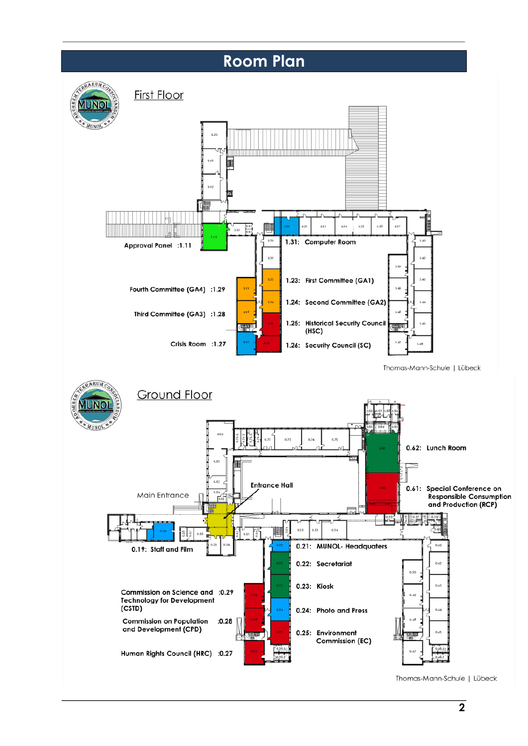### **Room Plan**

<span id="page-1-0"></span>

Thomas-Mann-Schule | Lübeck



Thomas-Mann-Schule | Lübeck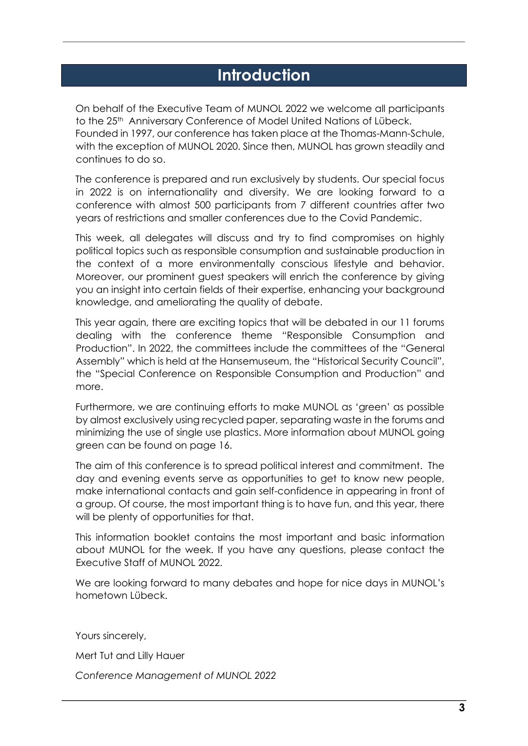### **Introduction**

<span id="page-2-0"></span>On behalf of the Executive Team of MUNOL 2022 we welcome all participants to the 25<sup>th</sup> Anniversary Conference of Model United Nations of Lübeck. Founded in 1997, our conference has taken place at the Thomas-Mann-Schule, with the exception of MUNOL 2020. Since then, MUNOL has grown steadily and continues to do so.

The conference is prepared and run exclusively by students. Our special focus in 2022 is on internationality and diversity. We are looking forward to a conference with almost 500 participants from 7 different countries after two years of restrictions and smaller conferences due to the Covid Pandemic.

This week, all delegates will discuss and try to find compromises on highly political topics such as responsible consumption and sustainable production in the context of a more environmentally conscious lifestyle and behavior. Moreover, our prominent guest speakers will enrich the conference by giving you an insight into certain fields of their expertise, enhancing your background knowledge, and ameliorating the quality of debate.

This year again, there are exciting topics that will be debated in our 11 forums dealing with the conference theme "Responsible Consumption and Production". In 2022, the committees include the committees of the "General Assembly" which is held at the Hansemuseum, the "Historical Security Council", the "Special Conference on Responsible Consumption and Production" and more.

Furthermore, we are continuing efforts to make MUNOL as 'green' as possible by almost exclusively using recycled paper, separating waste in the forums and minimizing the use of single use plastics. More information about MUNOL going green can be found on page 16.

The aim of this conference is to spread political interest and commitment. The day and evening events serve as opportunities to get to know new people, make international contacts and gain self-confidence in appearing in front of a group. Of course, the most important thing is to have fun, and this year, there will be plenty of opportunities for that.

This information booklet contains the most important and basic information about MUNOL for the week. If you have any questions, please contact the Executive Staff of MUNOL 2022.

We are looking forward to many debates and hope for nice days in MUNOL's hometown Lübeck.

Yours sincerely,

Mert Tut and Lilly Hauer

*Conference Management of MUNOL 2022*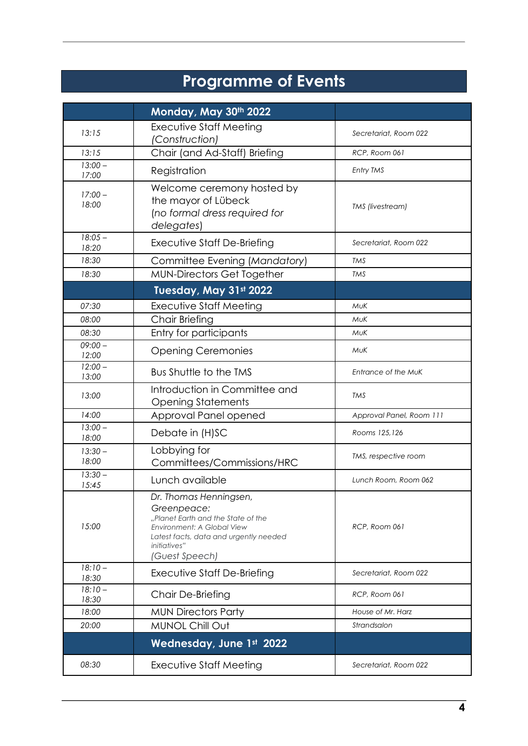### **Programme of Events**

<span id="page-3-0"></span>

|                    | Monday, May 30th 2022                                                                                                                                                                                          |                          |  |
|--------------------|----------------------------------------------------------------------------------------------------------------------------------------------------------------------------------------------------------------|--------------------------|--|
| 13:15              | <b>Executive Staff Meeting</b><br>(Construction)                                                                                                                                                               | Secretariat, Room 022    |  |
| 13:15              | Chair (and Ad-Staff) Briefing                                                                                                                                                                                  | RCP, Room 061            |  |
| $13:00 -$<br>17:00 | Registration                                                                                                                                                                                                   | Entry TMS                |  |
| $17:00 -$<br>18:00 | Welcome ceremony hosted by<br>the mayor of Lübeck<br>(no formal dress required for<br>delegates)                                                                                                               | TMS (livestream)         |  |
| $18:05 -$<br>18:20 | Executive Staff De-Briefing                                                                                                                                                                                    | Secretariat, Room 022    |  |
| 18:30              | Committee Evening (Mandatory)                                                                                                                                                                                  | <b>TMS</b>               |  |
| 18:30              | <b>MUN-Directors Get Together</b>                                                                                                                                                                              | <b>TMS</b>               |  |
|                    | Tuesday, May 31st 2022                                                                                                                                                                                         |                          |  |
| 07:30              | Executive Staff Meeting                                                                                                                                                                                        | MuK                      |  |
| 08:00              | Chair Briefing                                                                                                                                                                                                 | <b>MuK</b>               |  |
| 08:30              | Entry for participants                                                                                                                                                                                         | MuK                      |  |
| $09:00 -$<br>12:00 | <b>Opening Ceremonies</b><br>MUK                                                                                                                                                                               |                          |  |
| $12:00 -$<br>13:00 | Bus Shuttle to the TMS                                                                                                                                                                                         | Entrance of the MuK      |  |
| 13:00              | Introduction in Committee and<br><b>Opening Statements</b>                                                                                                                                                     | <b>TMS</b>               |  |
| 14:00              | Approval Panel opened                                                                                                                                                                                          | Approval Panel, Room 111 |  |
| $13:00 -$<br>18:00 | Debate in (H)SC                                                                                                                                                                                                | Rooms 125,126            |  |
| $13:30 -$<br>18:00 | Lobbying for<br>Committees/Commissions/HRC                                                                                                                                                                     | TMS, respective room     |  |
| $13:30 -$<br>15:45 | Lunch available                                                                                                                                                                                                | Lunch Room, Room 062     |  |
| 15:00              | Dr. Thomas Henningsen,<br>Greenpeace:<br>"Planet Earth and the State of the<br>RCP, Room 061<br>Environment: A Global View<br>Latest facts, data and urgently needed<br><i>initiatives</i> "<br>(Guest Speech) |                          |  |
| $18:10-$<br>18:30  | Executive Staff De-Briefing                                                                                                                                                                                    | Secretariat, Room 022    |  |
| $18:10-$<br>18:30  | Chair De-Briefing                                                                                                                                                                                              | RCP, Room 061            |  |
| 18:00              | <b>MUN Directors Party</b>                                                                                                                                                                                     | House of Mr. Harz        |  |
| 20:00              | MUNOL Chill Out                                                                                                                                                                                                | Strandsalon              |  |
|                    | <b>Wednesday, June 1st 2022</b>                                                                                                                                                                                |                          |  |
| 08:30              | <b>Executive Staff Meeting</b>                                                                                                                                                                                 | Secretariat, Room 022    |  |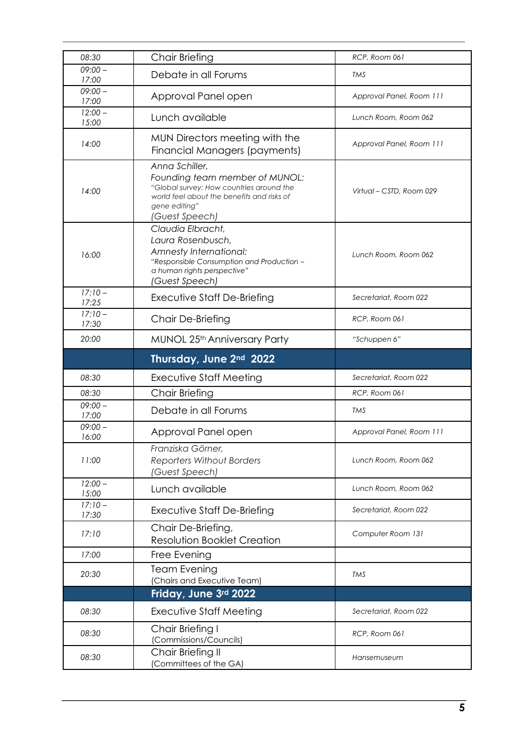| 08:30                        | <b>Chair Briefing</b>                                                                                                                                                         | RCP, Room 061            |  |
|------------------------------|-------------------------------------------------------------------------------------------------------------------------------------------------------------------------------|--------------------------|--|
| $09:00 -$<br>17:00           | Debate in all Forums                                                                                                                                                          | TMS                      |  |
| $09:00 -$<br>17:00           | Approval Panel open                                                                                                                                                           | Approval Panel, Room 111 |  |
| $12:00 -$<br>15:00           | Lunch available                                                                                                                                                               | Lunch Room, Room 062     |  |
| 14:00                        | MUN Directors meeting with the<br>Financial Managers (payments)                                                                                                               | Approval Panel, Room 111 |  |
| 14:00                        | Anna Schiller,<br>Founding team member of MUNOL:<br>"Global survey: How countries around the<br>world feel about the benefits and risks of<br>gene editing"<br>(Guest Speech) | Virtual – CSTD, Room 029 |  |
| 16:00                        | Claudia Elbracht,<br>Laura Rosenbusch,<br>Amnesty International:<br>"Responsible Consumption and Production -<br>a human rights perspective"<br>(Guest Speech)                | Lunch Room, Room 062     |  |
| $17:10-$<br>17:25            | Executive Staff De-Briefing                                                                                                                                                   | Secretariat, Room 022    |  |
| $\frac{1}{17:10}$ –<br>17:30 | Chair De-Briefing                                                                                                                                                             | RCP, Room 061            |  |
| 20:00                        | MUNOL 25th Anniversary Party                                                                                                                                                  | "Schuppen 6"             |  |
|                              | Thursday, June 2nd 2022                                                                                                                                                       |                          |  |
| 08:30                        | Executive Staff Meeting                                                                                                                                                       | Secretariat, Room 022    |  |
| 08:30                        | <b>Chair Briefing</b>                                                                                                                                                         | RCP, Room 061            |  |
| $09:00 -$<br>17:00           | Debate in all Forums                                                                                                                                                          | TMS                      |  |
| $09:00 -$<br>16:00           | Approval Panel open                                                                                                                                                           | Approval Panel, Room 111 |  |
| 11:00                        | Franziska Görner,<br><b>Reporters Without Borders</b><br>(Guest Speech)                                                                                                       | Lunch Room, Room 062     |  |
| $12:00 -$<br>15:00           | Lunch available                                                                                                                                                               | Lunch Room, Room 062     |  |
| $17:10-$<br>17:30            | <b>Executive Staff De-Briefing</b>                                                                                                                                            | Secretariat, Room 022    |  |
| 17:10                        | Chair De-Briefing,<br><b>Resolution Booklet Creation</b>                                                                                                                      | Computer Room 131        |  |
| 17:00                        | Free Evening                                                                                                                                                                  |                          |  |
| 20:30                        | <b>Team Evening</b><br>(Chairs and Executive Team)                                                                                                                            | TMS                      |  |
|                              | Friday, June 3rd 2022                                                                                                                                                         |                          |  |
| 08:30                        | Executive Staff Meeting                                                                                                                                                       | Secretariat, Room 022    |  |
|                              |                                                                                                                                                                               | RCP, Room 061            |  |
| 08:30                        | Chair Briefing I<br>(Commissions/Councils)                                                                                                                                    |                          |  |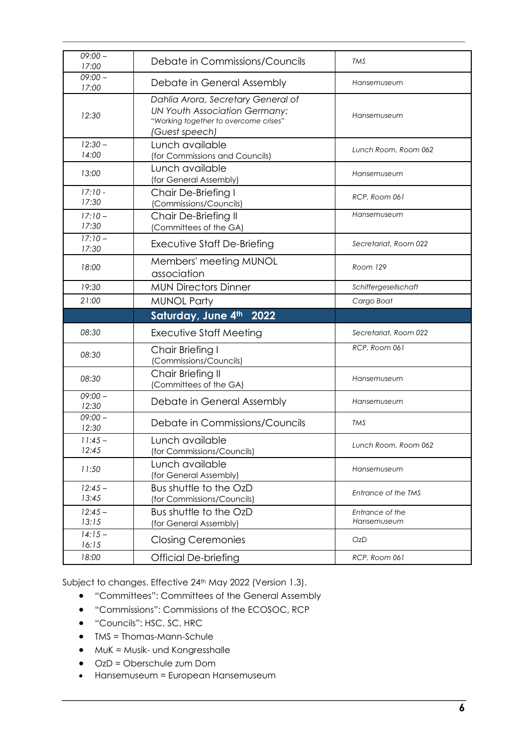| $09:00 -$<br>17:00 | Debate in Commissions/Councils                                                                                                        | TMS                            |  |  |
|--------------------|---------------------------------------------------------------------------------------------------------------------------------------|--------------------------------|--|--|
| $09:00 -$<br>17:00 | Debate in General Assembly                                                                                                            | Hansemuseum                    |  |  |
| 12:30              | Dahlia Arora, Secretary General of<br><b>UN Youth Association Germany:</b><br>"Working together to overcome crises"<br>(Guest speech) | Hansemuseum                    |  |  |
| $12:30 -$<br>14:00 | Lunch available<br>(for Commissions and Councils)                                                                                     | Lunch Room, Room 062           |  |  |
| 13:00              | Lunch available<br>(for General Assembly)                                                                                             | Hansemuseum                    |  |  |
| $17:10 -$<br>17:30 | Chair De-Briefing I<br>(Commissions/Councils)                                                                                         | RCP, Room 061                  |  |  |
| $17:10-$<br>17:30  | Chair De-Briefing II<br>(Committees of the GA)                                                                                        | Hansemuseum                    |  |  |
| $17:10-$<br>17:30  | Executive Staff De-Briefing                                                                                                           | Secretariat, Room 022          |  |  |
| 18:00              | Members' meeting MUNOL<br>association                                                                                                 | Room 129                       |  |  |
| 19:30              | <b>MUN Directors Dinner</b>                                                                                                           | Schiffergesellschaft           |  |  |
| 21:00              | <b>MUNOL Party</b>                                                                                                                    | Cargo Boat                     |  |  |
|                    |                                                                                                                                       |                                |  |  |
|                    | Saturday, June 4th<br>2022                                                                                                            |                                |  |  |
| 08:30              | Executive Staff Meeting                                                                                                               | Secretariat, Room 022          |  |  |
| 08:30              | Chair Briefing I<br>(Commissions/Councils)                                                                                            | RCP, Room 061                  |  |  |
| 08:30              | Chair Briefing II<br>(Committees of the GA)                                                                                           | Hansemuseum                    |  |  |
| $09:00 -$<br>12:30 | Debate in General Assembly                                                                                                            | Hansemuseum                    |  |  |
| $09:00 -$<br>12:30 | Debate in Commissions/Councils                                                                                                        | <b>TMS</b>                     |  |  |
| $11:45-$<br>12:45  | Lunch available<br>(for Commissions/Councils)                                                                                         | Lunch Room, Room 062           |  |  |
| 11:50              | Lunch available<br>(for General Assembly)                                                                                             | Hansemuseum                    |  |  |
| $12:45-$<br>13:45  | Bus shuttle to the OzD<br>(for Commissions/Councils)                                                                                  | Entrance of the TMS            |  |  |
| $12:45 -$<br>13:15 | Bus shuttle to the OzD<br>(for General Assembly)                                                                                      | Entrance of the<br>Hansemuseum |  |  |
| $14:15-$<br>16:15  | <b>Closing Ceremonies</b>                                                                                                             | OzD                            |  |  |

Subject to changes. Effective 24<sup>th</sup> May 2022 (Version 1.3).

- "Committees": Committees of the General Assembly
- "Commissions": Commissions of the ECOSOC, RCP
- "Councils": HSC, SC, HRC
- TMS = Thomas-Mann-Schule
- MuK = Musik- und Kongresshalle
- OzD = Oberschule zum Dom
- Hansemuseum = European Hansemuseum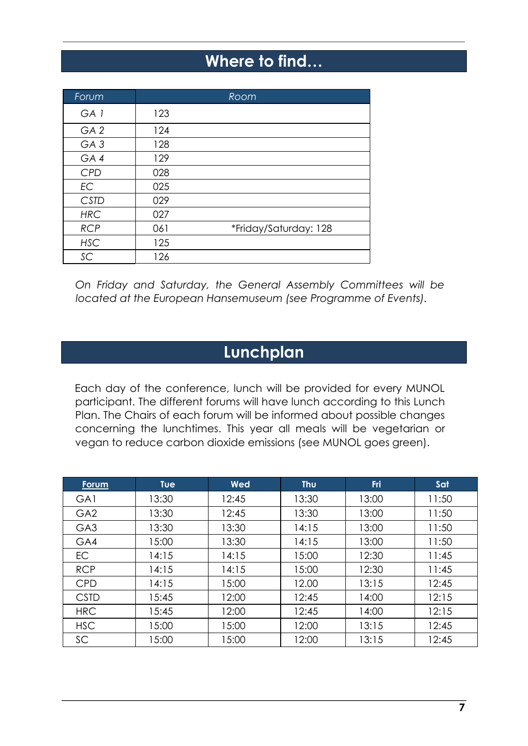### **Where to find…**

<span id="page-6-0"></span>

| Forum           |     | Room                  |
|-----------------|-----|-----------------------|
| GA <sub>1</sub> | 123 |                       |
| GA <sub>2</sub> | 124 |                       |
| GA <sub>3</sub> | 128 |                       |
| GA4             | 129 |                       |
| <b>CPD</b>      | 028 |                       |
| <b>EC</b>       | 025 |                       |
| <b>CSTD</b>     | 029 |                       |
| <b>HRC</b>      | 027 |                       |
| <b>RCP</b>      | 061 | *Friday/Saturday: 128 |
| <b>HSC</b>      | 125 |                       |
| SC              | 126 |                       |

*On Friday and Saturday, the General Assembly Committees will be located at the European Hansemuseum (see Programme of Events).*

### **Lunchplan**

<span id="page-6-1"></span>Each day of the conference, lunch will be provided for every MUNOL participant. The different forums will have lunch according to this Lunch Plan. The Chairs of each forum will be informed about possible changes concerning the lunchtimes. This year all meals will be vegetarian or vegan to reduce carbon dioxide emissions (see MUNOL goes green).

| <u>Forum</u>    | <b>Tue</b> | Wed   | Thu   | Fri   | Sat   |
|-----------------|------------|-------|-------|-------|-------|
| GA1             | 13:30      | 12:45 | 13:30 | 13:00 | 11:50 |
| GA <sub>2</sub> | 13:30      | 12:45 | 13:30 | 13:00 | 11:50 |
| GA <sub>3</sub> | 13:30      | 13:30 | 14:15 | 13:00 | 11:50 |
| GA4             | 15:00      | 13:30 | 14:15 | 13:00 | 11:50 |
| <b>EC</b>       | 14:15      | 14:15 | 15:00 | 12:30 | 11:45 |
| <b>RCP</b>      | 14:15      | 14:15 | 15:00 | 12:30 | 11:45 |
| <b>CPD</b>      | 14:15      | 15:00 | 12.00 | 13:15 | 12:45 |
| <b>CSTD</b>     | 15:45      | 12:00 | 12:45 | 14:00 | 12:15 |
| <b>HRC</b>      | 15:45      | 12:00 | 12:45 | 14:00 | 12:15 |
| <b>HSC</b>      | 15:00      | 15:00 | 12:00 | 13:15 | 12:45 |
| SC              | 15:00      | 15:00 | 12:00 | 13:15 | 12:45 |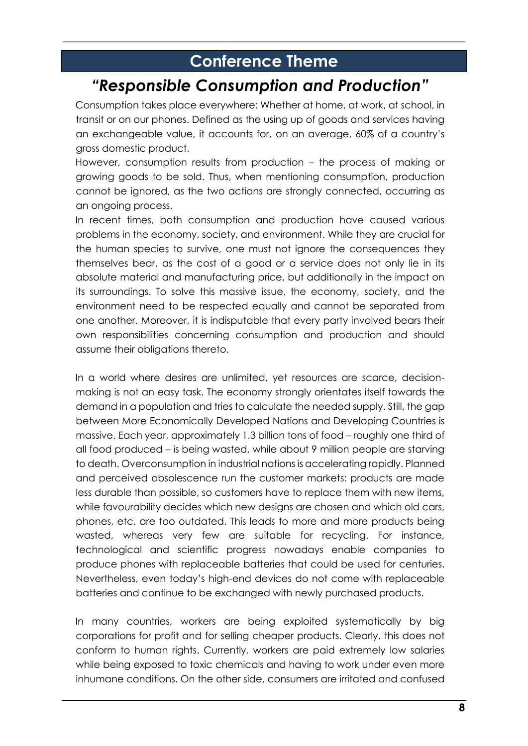### **Conference Theme**

### <span id="page-7-0"></span>*"Responsible Consumption and Production"*

Consumption takes place everywhere: Whether at home, at work, at school, in transit or on our phones. Defined as the using up of goods and services having an exchangeable value, it accounts for, on an average, 60% of a country's gross domestic product.

However, consumption results from production – the process of making or growing goods to be sold. Thus, when mentioning consumption, production cannot be ignored, as the two actions are strongly connected, occurring as an ongoing process.

In recent times, both consumption and production have caused various problems in the economy, society, and environment. While they are crucial for the human species to survive, one must not ignore the consequences they themselves bear, as the cost of a good or a service does not only lie in its absolute material and manufacturing price, but additionally in the impact on its surroundings. To solve this massive issue, the economy, society, and the environment need to be respected equally and cannot be separated from one another. Moreover, it is indisputable that every party involved bears their own responsibilities concerning consumption and production and should assume their obligations thereto.

In a world where desires are unlimited, yet resources are scarce, decisionmaking is not an easy task. The economy strongly orientates itself towards the demand in a population and tries to calculate the needed supply. Still, the gap between More Economically Developed Nations and Developing Countries is massive. Each year, approximately 1.3 billion tons of food – roughly one third of all food produced – is being wasted, while about 9 million people are starving to death. Overconsumption in industrial nations is accelerating rapidly. Planned and perceived obsolescence run the customer markets: products are made less durable than possible, so customers have to replace them with new items, while favourability decides which new designs are chosen and which old cars, phones, etc. are too outdated. This leads to more and more products being wasted, whereas very few are suitable for recycling. For instance, technological and scientific progress nowadays enable companies to produce phones with replaceable batteries that could be used for centuries. Nevertheless, even today's high-end devices do not come with replaceable batteries and continue to be exchanged with newly purchased products.

In many countries, workers are being exploited systematically by big corporations for profit and for selling cheaper products. Clearly, this does not conform to human rights. Currently, workers are paid extremely low salaries while being exposed to toxic chemicals and having to work under even more inhumane conditions. On the other side, consumers are irritated and confused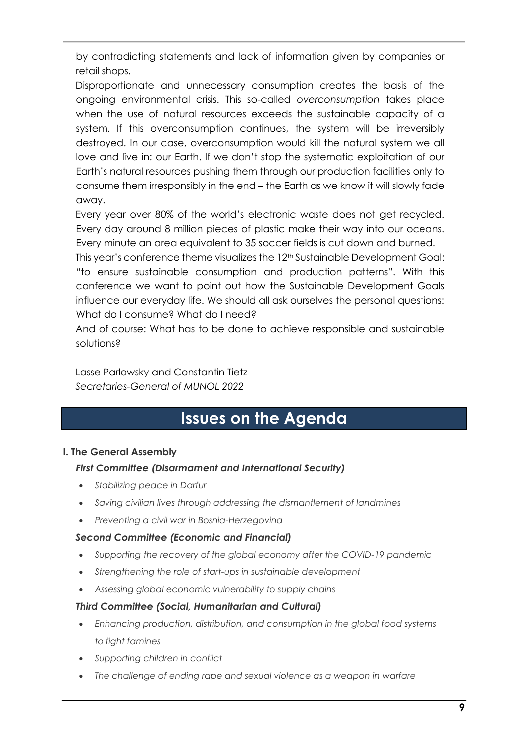by contradicting statements and lack of information given by companies or retail shops.

Disproportionate and unnecessary consumption creates the basis of the ongoing environmental crisis. This so-called *overconsumption* takes place when the use of natural resources exceeds the sustainable capacity of a system. If this overconsumption continues, the system will be irreversibly destroyed. In our case, overconsumption would kill the natural system we all love and live in: our Earth. If we don't stop the systematic exploitation of our Earth's natural resources pushing them through our production facilities only to consume them irresponsibly in the end – the Earth as we know it will slowly fade away.

Every year over 80% of the world's electronic waste does not get recycled. Every day around 8 million pieces of plastic make their way into our oceans. Every minute an area equivalent to 35 soccer fields is cut down and burned.

This year's conference theme visualizes the 12<sup>th</sup> Sustainable Development Goal: "to ensure sustainable consumption and production patterns". With this conference we want to point out how the Sustainable Development Goals influence our everyday life. We should all ask ourselves the personal questions: What do I consume? What do I need?

And of course: What has to be done to achieve responsible and sustainable solutions?

Lasse Parlowsky and Constantin Tietz *Secretaries-General of MUNOL 2022*

### **Issues on the Agenda**

#### <span id="page-8-0"></span>**I. The General Assembly**

#### *First Committee (Disarmament and International Security)*

- *Stabilizing peace in Darfur*
- *Saving civilian lives through addressing the dismantlement of landmines*
- *Preventing a civil war in Bosnia-Herzegovina*

#### *Second Committee (Economic and Financial)*

- *Supporting the recovery of the global economy after the COVID-19 pandemic*
- *Strengthening the role of start-ups in sustainable development*
- *Assessing global economic vulnerability to supply chains*

#### *Third Committee (Social, Humanitarian and Cultural)*

- *Enhancing production, distribution, and consumption in the global food systems to fight famines*
- *Supporting children in conflict*
- *The challenge of ending rape and sexual violence as a weapon in warfare*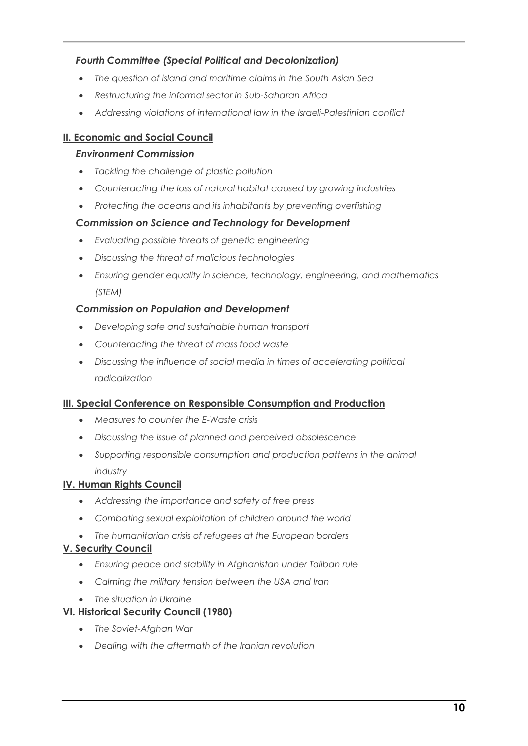#### *Fourth Committee (Special Political and Decolonization)*

- *The question of island and maritime claims in the South Asian Sea*
- *Restructuring the informal sector in Sub-Saharan Africa*
- *Addressing violations of international law in the Israeli-Palestinian conflict*

#### **II. Economic and Social Council**

#### *Environment Commission*

- *Tackling the challenge of plastic pollution*
- *Counteracting the loss of natural habitat caused by growing industries*
- *Protecting the oceans and its inhabitants by preventing overfishing*

#### *Commission on Science and Technology for Development*

- *Evaluating possible threats of genetic engineering*
- *Discussing the threat of malicious technologies*
- *Ensuring gender equality in science, technology, engineering, and mathematics (STEM)*

#### *Commission on Population and Development*

- *Developing safe and sustainable human transport*
- *Counteracting the threat of mass food waste*
- *Discussing the influence of social media in times of accelerating political radicalization*

#### **III. Special Conference on Responsible Consumption and Production**

- *Measures to counter the E-Waste crisis*
- *Discussing the issue of planned and perceived obsolescence*
- *Supporting responsible consumption and production patterns in the animal industry*

#### **IV. Human Rights Council**

- *Addressing the importance and safety of free press*
- *Combating sexual exploitation of children around the world*
- *The humanitarian crisis of refugees at the European borders*

#### **V. Security Council**

- *Ensuring peace and stability in Afghanistan under Taliban rule*
- *Calming the military tension between the USA and Iran*
- *The situation in Ukraine*

#### **VI. Historical Security Council (1980)**

- *The Soviet-Afghan War*
- *Dealing with the aftermath of the Iranian revolution*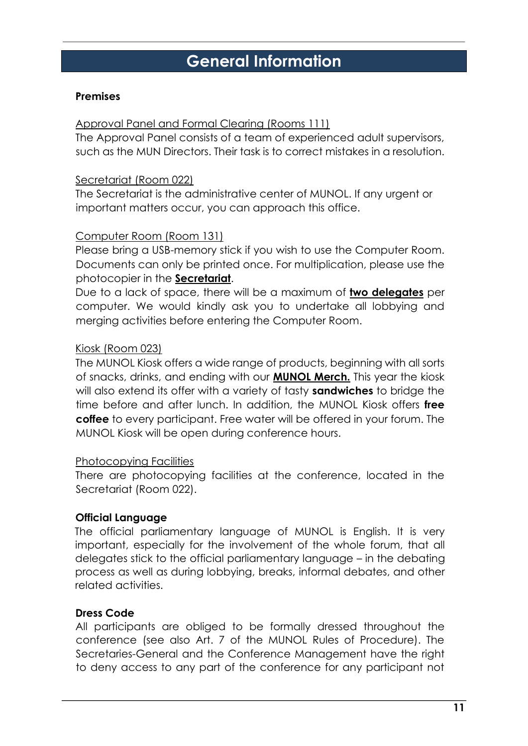### **General Information**

#### <span id="page-10-0"></span>**Premises**

#### Approval Panel and Formal Clearing (Rooms 111)

The Approval Panel consists of a team of experienced adult supervisors, such as the MUN Directors. Their task is to correct mistakes in a resolution.

#### Secretariat (Room 022)

The Secretariat is the administrative center of MUNOL. If any urgent or important matters occur, you can approach this office.

#### Computer Room (Room 131)

Please bring a USB-memory stick if you wish to use the Computer Room. Documents can only be printed once. For multiplication, please use the photocopier in the **Secretariat**.

Due to a lack of space, there will be a maximum of **two delegates** per computer. We would kindly ask you to undertake all lobbying and merging activities before entering the Computer Room.

#### Kiosk (Room 023)

The MUNOL Kiosk offers a wide range of products, beginning with all sorts of snacks, drinks, and ending with our **MUNOL Merch.** This year the kiosk will also extend its offer with a variety of tasty **sandwiches** to bridge the time before and after lunch. In addition, the MUNOL Kiosk offers **free coffee** to every participant. Free water will be offered in your forum. The MUNOL Kiosk will be open during conference hours.

#### Photocopying Facilities

There are photocopying facilities at the conference, located in the Secretariat (Room 022).

#### **Official Language**

The official parliamentary language of MUNOL is English. It is very important, especially for the involvement of the whole forum, that all delegates stick to the official parliamentary language – in the debating process as well as during lobbying, breaks, informal debates, and other related activities.

#### **Dress Code**

All participants are obliged to be formally dressed throughout the conference (see also Art. 7 of the MUNOL Rules of Procedure). The Secretaries-General and the Conference Management have the right to deny access to any part of the conference for any participant not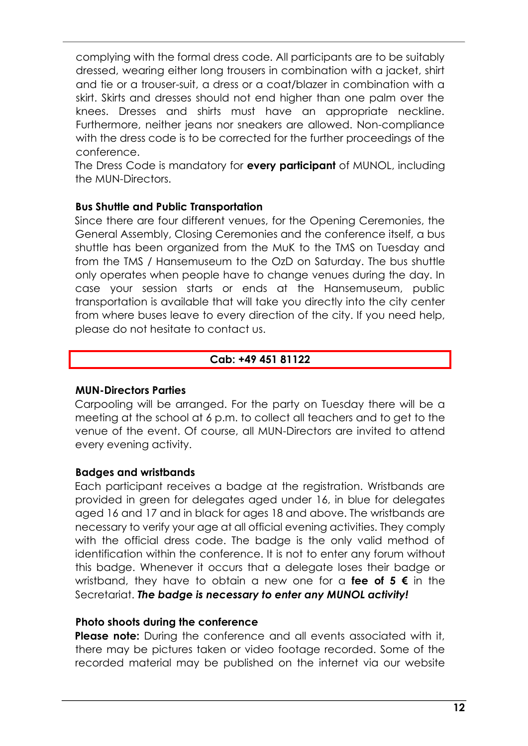complying with the formal dress code. All participants are to be suitably dressed, wearing either long trousers in combination with a jacket, shirt and tie or a trouser-suit, a dress or a coat/blazer in combination with a skirt. Skirts and dresses should not end higher than one palm over the knees. Dresses and shirts must have an appropriate neckline. Furthermore, neither jeans nor sneakers are allowed. Non-compliance with the dress code is to be corrected for the further proceedings of the conference.

The Dress Code is mandatory for **every participant** of MUNOL, including the MUN-Directors.

#### **Bus Shuttle and Public Transportation**

Since there are four different venues, for the Opening Ceremonies, the General Assembly, Closing Ceremonies and the conference itself, a bus shuttle has been organized from the MuK to the TMS on Tuesday and from the TMS / Hansemuseum to the OzD on Saturday. The bus shuttle only operates when people have to change venues during the day. In case your session starts or ends at the Hansemuseum, public transportation is available that will take you directly into the city center from where buses leave to every direction of the city. If you need help, please do not hesitate to contact us.

#### **Cab: +49 451 81122**

#### **MUN-Directors Parties**

Carpooling will be arranged. For the party on Tuesday there will be a meeting at the school at 6 p.m. to collect all teachers and to get to the venue of the event. Of course, all MUN-Directors are invited to attend every evening activity.

#### **Badges and wristbands**

Each participant receives a badge at the registration. Wristbands are provided in green for delegates aged under 16, in blue for delegates aged 16 and 17 and in black for ages 18 and above. The wristbands are necessary to verify your age at all official evening activities. They comply with the official dress code. The badge is the only valid method of identification within the conference. It is not to enter any forum without this badge. Whenever it occurs that a delegate loses their badge or wristband, they have to obtain a new one for a **fee of 5 €** in the Secretariat. *The badge is necessary to enter any MUNOL activity!* 

#### **Photo shoots during the conference**

**Please note:** During the conference and all events associated with it, there may be pictures taken or video footage recorded. Some of the recorded material may be published on the internet via our website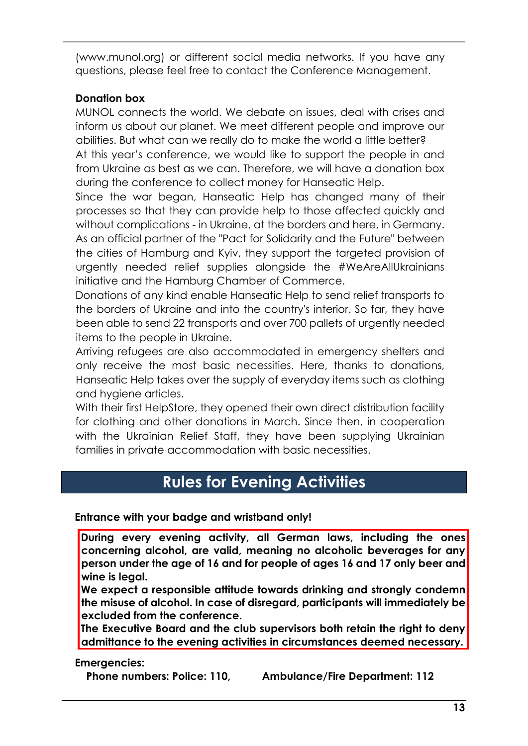(www.munol.org) or different social media networks. If you have any questions, please feel free to contact the Conference Management.

#### **Donation box**

MUNOL connects the world. We debate on issues, deal with crises and inform us about our planet. We meet different people and improve our abilities. But what can we really do to make the world a little better? At this year's conference, we would like to support the people in and from Ukraine as best as we can. Therefore, we will have a donation box during the conference to collect money for Hanseatic Help.

Since the war began, Hanseatic Help has changed many of their processes so that they can provide help to those affected quickly and without complications - in Ukraine, at the borders and here, in Germany. As an official partner of the "Pact for Solidarity and the Future" between the cities of Hamburg and Kyiv, they support the targeted provision of urgently needed relief supplies alongside the #WeAreAllUkrainians initiative and the Hamburg Chamber of Commerce.

Donations of any kind enable Hanseatic Help to send relief transports to the borders of Ukraine and into the country's interior. So far, they have been able to send 22 transports and over 700 pallets of urgently needed items to the people in Ukraine.

Arriving refugees are also accommodated in emergency shelters and only receive the most basic necessities. Here, thanks to donations, Hanseatic Help takes over the supply of everyday items such as clothing and hygiene articles.

With their first HelpStore, they opened their own direct distribution facility for clothing and other donations in March. Since then, in cooperation with the Ukrainian Relief Staff, they have been supplying Ukrainian families in private accommodation with basic necessities.

### **Rules for Evening Activities**

#### <span id="page-12-0"></span>**Entrance with your badge and wristband only!**

**During every evening activity, all German laws, including the ones concerning alcohol, are valid, meaning no alcoholic beverages for any person under the age of 16 and for people of ages 16 and 17 only beer and wine is legal.** 

**We expect a responsible attitude towards drinking and strongly condemn the misuse of alcohol. In case of disregard, participants will immediately be excluded from the conference.** 

**The Executive Board and the club supervisors both retain the right to deny admittance to the evening activities in circumstances deemed necessary.**

#### **Emergencies:**

**Phone numbers: Police: 110, Ambulance/Fire Department: 112**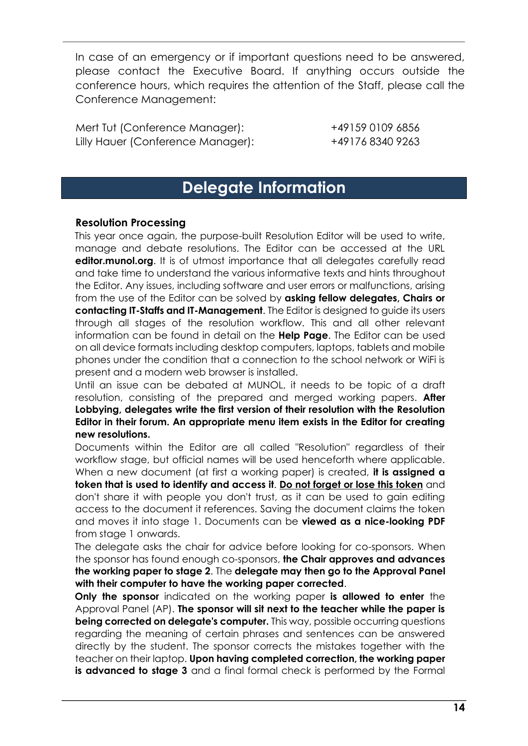In case of an emergency or if important questions need to be answered, please contact the Executive Board. If anything occurs outside the conference hours, which requires the attention of the Staff, please call the Conference Management:

Mert Tut (Conference Manager): +49159 0109 6856 Lilly Hauer (Conference Manager): +49176 8340 9263

### **Delegate Information**

#### <span id="page-13-0"></span>**Resolution Processing**

This year once again, the purpose-built Resolution Editor will be used to write, manage and debate resolutions. The Editor can be accessed at the URL **editor.munol.org**. It is of utmost importance that all delegates carefully read and take time to understand the various informative texts and hints throughout the Editor. Any issues, including software and user errors or malfunctions, arising from the use of the Editor can be solved by **asking fellow delegates, Chairs or contacting IT-Staffs and IT-Management**. The Editor is designed to guide its users through all stages of the resolution workflow. This and all other relevant information can be found in detail on the **Help Page**. The Editor can be used on all device formats including desktop computers, laptops, tablets and mobile phones under the condition that a connection to the school network or WiFi is present and a modern web browser is installed.

Until an issue can be debated at MUNOL, it needs to be topic of a draft resolution, consisting of the prepared and merged working papers. **After Lobbying, delegates write the first version of their resolution with the Resolution Editor in their forum. An appropriate menu item exists in the Editor for creating new resolutions.** 

Documents within the Editor are all called "Resolution" regardless of their workflow stage, but official names will be used henceforth where applicable. When a new document (at first a working paper) is created, **it is assigned a token that is used to identify and access it**. **Do not forget or lose this token** and don't share it with people you don't trust, as it can be used to gain editing access to the document it references. Saving the document claims the token and moves it into stage 1. Documents can be **viewed as a nice-looking PDF** from stage 1 onwards.

The delegate asks the chair for advice before looking for co-sponsors. When the sponsor has found enough co-sponsors, **the Chair approves and advances the working paper to stage 2**. The **delegate may then go to the Approval Panel with their computer to have the working paper corrected**.

**Only the sponsor** indicated on the working paper **is allowed to enter** the Approval Panel (AP). **The sponsor will sit next to the teacher while the paper is being corrected on delegate's computer.** This way, possible occurring questions regarding the meaning of certain phrases and sentences can be answered directly by the student. The sponsor corrects the mistakes together with the teacher on their laptop. **Upon having completed correction, the working paper is advanced to stage 3** and a final formal check is performed by the Formal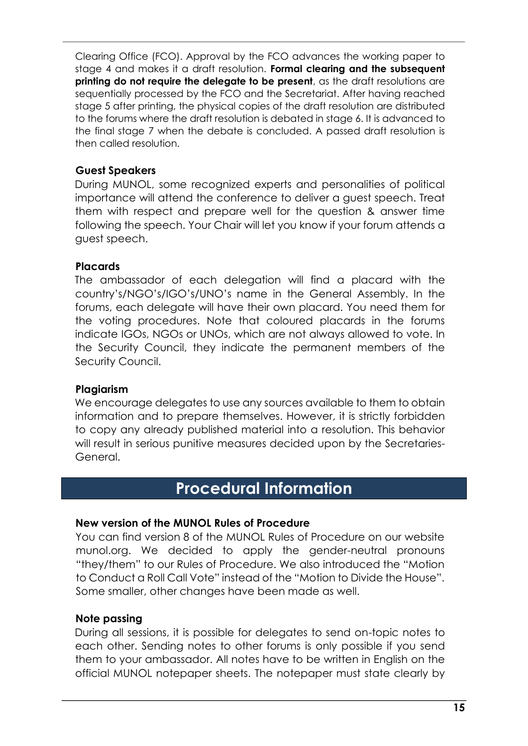Clearing Office (FCO). Approval by the FCO advances the working paper to stage 4 and makes it a draft resolution. **Formal clearing and the subsequent printing do not require the delegate to be present**, as the draft resolutions are sequentially processed by the FCO and the Secretariat. After having reached stage 5 after printing, the physical copies of the draft resolution are distributed to the forums where the draft resolution is debated in stage 6. It is advanced to the final stage 7 when the debate is concluded. A passed draft resolution is then called resolution.

#### **Guest Speakers**

During MUNOL, some recognized experts and personalities of political importance will attend the conference to deliver a guest speech. Treat them with respect and prepare well for the question & answer time following the speech. Your Chair will let you know if your forum attends a guest speech.

#### **Placards**

The ambassador of each delegation will find a placard with the country's/NGO's/IGO's/UNO's name in the General Assembly. In the forums, each delegate will have their own placard. You need them for the voting procedures. Note that coloured placards in the forums indicate IGOs, NGOs or UNOs, which are not always allowed to vote. In the Security Council, they indicate the permanent members of the Security Council.

#### **Plagiarism**

We encourage delegates to use any sources available to them to obtain information and to prepare themselves. However, it is strictly forbidden to copy any already published material into a resolution. This behavior will result in serious punitive measures decided upon by the Secretaries-General.

### **Procedural Information**

#### <span id="page-14-0"></span>**New version of the MUNOL Rules of Procedure**

You can find version 8 of the MUNOL Rules of Procedure on our website munol.org. We decided to apply the gender-neutral pronouns "they/them" to our Rules of Procedure. We also introduced the "Motion to Conduct a Roll Call Vote" instead of the "Motion to Divide the House". Some smaller, other changes have been made as well.

#### **Note passing**

During all sessions, it is possible for delegates to send on-topic notes to each other. Sending notes to other forums is only possible if you send them to your ambassador. All notes have to be written in English on the official MUNOL notepaper sheets. The notepaper must state clearly by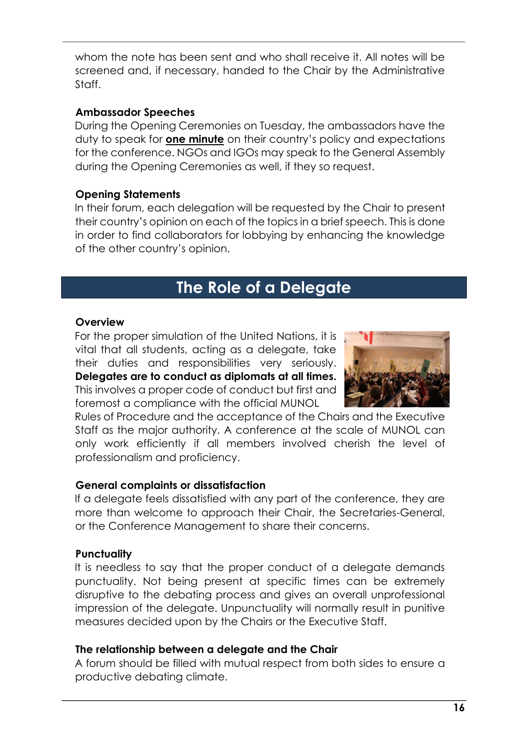whom the note has been sent and who shall receive it. All notes will be screened and, if necessary, handed to the Chair by the Administrative Staff.

#### **Ambassador Speeches**

During the Opening Ceremonies on Tuesday, the ambassadors have the duty to speak for **one minute** on their country's policy and expectations for the conference. NGOs and IGOs may speak to the General Assembly during the Opening Ceremonies as well, if they so request.

#### **Opening Statements**

In their forum, each delegation will be requested by the Chair to present their country's opinion on each of the topics in a brief speech. This is done in order to find collaborators for lobbying by enhancing the knowledge of the other country's opinion.

### **The Role of a Delegate**

#### <span id="page-15-0"></span>**Overview**

For the proper simulation of the United Nations, it is vital that all students, acting as a delegate, take their duties and responsibilities very seriously. **Delegates are to conduct as diplomats at all times.** This involves a proper code of conduct but first and foremost a compliance with the official MUNOL



Rules of Procedure and the acceptance of the Chairs and the Executive Staff as the major authority. A conference at the scale of MUNOL can only work efficiently if all members involved cherish the level of professionalism and proficiency.

#### **General complaints or dissatisfaction**

If a delegate feels dissatisfied with any part of the conference, they are more than welcome to approach their Chair, the Secretaries-General, or the Conference Management to share their concerns.

#### **Punctuality**

It is needless to say that the proper conduct of a delegate demands punctuality. Not being present at specific times can be extremely disruptive to the debating process and gives an overall unprofessional impression of the delegate. Unpunctuality will normally result in punitive measures decided upon by the Chairs or the Executive Staff.

#### **The relationship between a delegate and the Chair**

A forum should be filled with mutual respect from both sides to ensure a productive debating climate.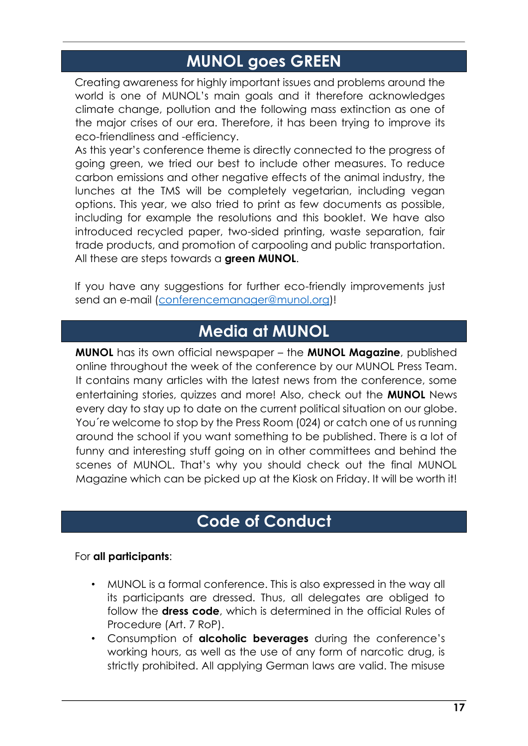### **MUNOL goes GREEN**

<span id="page-16-0"></span>Creating awareness for highly important issues and problems around the world is one of MUNOL's main goals and it therefore acknowledges climate change, pollution and the following mass extinction as one of the major crises of our era. Therefore, it has been trying to improve its eco-friendliness and -efficiency.

As this year's conference theme is directly connected to the progress of going green, we tried our best to include other measures. To reduce carbon emissions and other negative effects of the animal industry, the lunches at the TMS will be completely vegetarian, including vegan options. This year, we also tried to print as few documents as possible, including for example the resolutions and this booklet. We have also introduced recycled paper, two-sided printing, waste separation, fair trade products, and promotion of carpooling and public transportation. All these are steps towards a **green MUNOL**.

If you have any suggestions for further eco-friendly improvements just send an e-mail [\(conferencemanager@munol.org\)](mailto:conferencemanager@munol.org)!

### **Media at MUNOL**

<span id="page-16-1"></span>**MUNOL** has its own official newspaper – the **MUNOL Magazine**, published online throughout the week of the conference by our MUNOL Press Team. It contains many articles with the latest news from the conference, some entertaining stories, quizzes and more! Also, check out the **MUNOL** News every day to stay up to date on the current political situation on our globe. You´re welcome to stop by the Press Room (024) or catch one of us running around the school if you want something to be published. There is a lot of funny and interesting stuff going on in other committees and behind the scenes of MUNOL. That's why you should check out the final MUNOL Magazine which can be picked up at the Kiosk on Friday. It will be worth it!

### **Code of Conduct**

#### <span id="page-16-2"></span>For **all participants**:

- MUNOL is a formal conference. This is also expressed in the way all its participants are dressed. Thus, all delegates are obliged to follow the **dress code**, which is determined in the official Rules of Procedure (Art. 7 RoP).
- Consumption of **alcoholic beverages** during the conference's working hours, as well as the use of any form of narcotic drug, is strictly prohibited. All applying German laws are valid. The misuse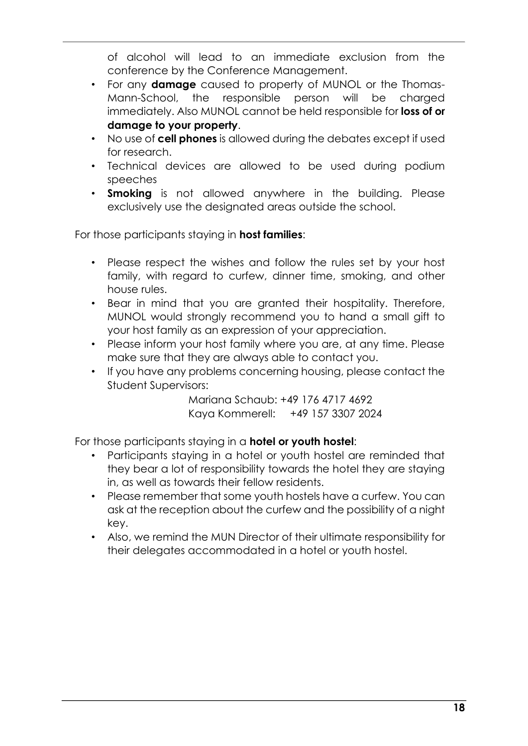of alcohol will lead to an immediate exclusion from the conference by the Conference Management.

- For any **damage** caused to property of MUNOL or the Thomas-Mann-School, the responsible person will be charged immediately. Also MUNOL cannot be held responsible for **loss of or damage to your property**.
- No use of **cell phones** is allowed during the debates except if used for research.
- Technical devices are allowed to be used during podium speeches
- **Smoking** is not allowed anywhere in the building. Please exclusively use the designated areas outside the school.

For those participants staying in **host families**:

- Please respect the wishes and follow the rules set by your host family, with regard to curfew, dinner time, smoking, and other house rules.
- Bear in mind that you are granted their hospitality. Therefore, MUNOL would strongly recommend you to hand a small gift to your host family as an expression of your appreciation.
- Please inform your host family where you are, at any time. Please make sure that they are always able to contact you.
- If you have any problems concerning housing, please contact the Student Supervisors:

Mariana Schaub: +49 176 4717 4692 Kaya Kommerell: +49 157 3307 2024

For those participants staying in a **hotel or youth hostel**:

- Participants staying in a hotel or youth hostel are reminded that they bear a lot of responsibility towards the hotel they are staying in, as well as towards their fellow residents.
- Please remember that some youth hostels have a curfew. You can ask at the reception about the curfew and the possibility of a night key.
- Also, we remind the MUN Director of their ultimate responsibility for their delegates accommodated in a hotel or youth hostel.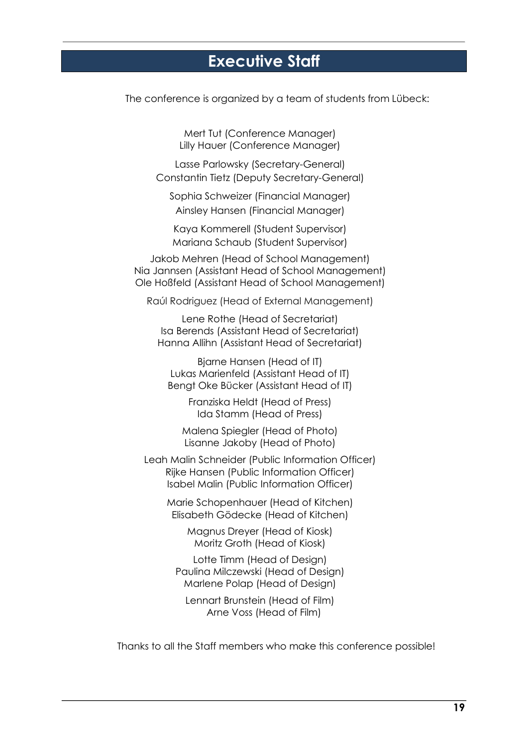### **Executive Staff**

<span id="page-18-0"></span>The conference is organized by a team of students from Lübeck:

Mert Tut (Conference Manager) Lilly Hauer (Conference Manager)

Lasse Parlowsky (Secretary-General) Constantin Tietz (Deputy Secretary-General)

Sophia Schweizer (Financial Manager) Ainsley Hansen (Financial Manager)

Kaya Kommerell (Student Supervisor) Mariana Schaub (Student Supervisor)

Jakob Mehren (Head of School Management) Nia Jannsen (Assistant Head of School Management) Ole Hoßfeld (Assistant Head of School Management)

Raúl Rodriguez (Head of External Management)

Lene Rothe (Head of Secretariat) Isa Berends (Assistant Head of Secretariat) Hanna Allihn (Assistant Head of Secretariat)

Bjarne Hansen (Head of IT) Lukas Marienfeld (Assistant Head of IT) Bengt Oke Bücker (Assistant Head of IT)

> Franziska Heldt (Head of Press) Ida Stamm (Head of Press)

Malena Spiegler (Head of Photo) Lisanne Jakoby (Head of Photo)

Leah Malin Schneider (Public Information Officer) Rijke Hansen (Public Information Officer) Isabel Malin (Public Information Officer)

Marie Schopenhauer (Head of Kitchen) Elisabeth Gödecke (Head of Kitchen)

> Magnus Dreyer (Head of Kiosk) Moritz Groth (Head of Kiosk)

Lotte Timm (Head of Design) Paulina Milczewski (Head of Design) Marlene Polap (Head of Design)

Lennart Brunstein (Head of Film) Arne Voss (Head of Film)

Thanks to all the Staff members who make this conference possible!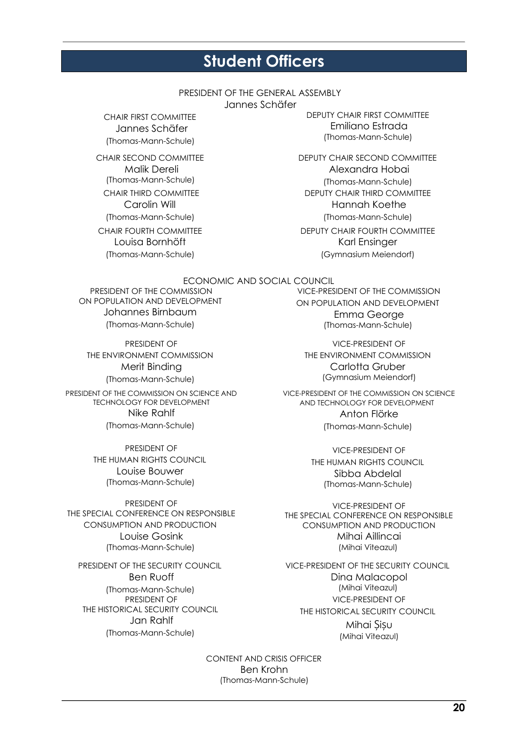### **Student Officers**

#### PRESIDENT OF THE GENERAL ASSEMBLY

Jannes Schäfer

<span id="page-19-0"></span>CHAIR FIRST COMMITTEE Jannes Schäfer (Thomas-Mann-Schule)

CHAIR SECOND COMMITTEE Malik Dereli (Thomas-Mann-Schule) CHAIR THIRD COMMITTEE Carolin Will (Thomas-Mann-Schule) CHAIR FOURTH COMMITTEE Louisa Bornhöft (Thomas-Mann-Schule)

DEPUTY CHAIR FIRST COMMITTEE Emiliano Estrada (Thomas-Mann-Schule)

DEPUTY CHAIR SECOND COMMITTEE Alexandra Hobai (Thomas-Mann-Schule) DEPUTY CHAIR THIRD COMMITTEE Hannah Koethe (Thomas-Mann-Schule) DEPUTY CHAIR FOURTH COMMITTEE Karl Ensinger (Gymnasium Meiendorf)

#### ECONOMIC AND SOCIAL COUNCIL

PRESIDENT OF THE COMMISSION ON POPULATION AND DEVELOPMENT Johannes Birnbaum (Thomas-Mann-Schule)

PRESIDENT OF THE ENVIRONMENT COMMISSION Merit Binding (Thomas-Mann-Schule)

PRESIDENT OF THE COMMISSION ON SCIENCE AND TECHNOLOGY FOR DEVELOPMENT Nike Rahlf (Thomas-Mann-Schule)

> PRESIDENT OF THE HUMAN RIGHTS COUNCIL Louise Bouwer (Thomas-Mann-Schule)

PRESIDENT OF THE SPECIAL CONFERENCE ON RESPONSIBLE CONSUMPTION AND PRODUCTION Louise Gosink (Thomas-Mann-Schule)

PRESIDENT OF THE SECURITY COUNCIL Ben Ruoff (Thomas-Mann-Schule) PRESIDENT OF THE HISTORICAL SECURITY COUNCIL Jan Rahlf (Thomas-Mann-Schule)

VICE-PRESIDENT OF THE COMMISSION ON POPULATION AND DEVELOPMENT Emma George (Thomas-Mann-Schule)

VICE-PRESIDENT OF THE ENVIRONMENT COMMISSION Carlotta Gruber (Gymnasium Meiendorf)

VICE-PRESIDENT OF THE COMMISSION ON SCIENCE AND TECHNOLOGY FOR DEVELOPMENT Anton Flörke (Thomas-Mann-Schule)

> VICE-PRESIDENT OF THE HUMAN RIGHTS COUNCIL Sibba Abdelal (Thomas-Mann-Schule)

VICE-PRESIDENT OF THE SPECIAL CONFERENCE ON RESPONSIBLE CONSUMPTION AND PRODUCTION Mihai Aillincai (Mihai Viteazul)

VICE-PRESIDENT OF THE SECURITY COUNCIL Dina Malacopol (Mihai Viteazul) VICE-PRESIDENT OF THE HISTORICAL SECURITY COUNCIL Mihai Șișu (Mihai Viteazul)

CONTENT AND CRISIS OFFICER Ben Krohn (Thomas-Mann-Schule)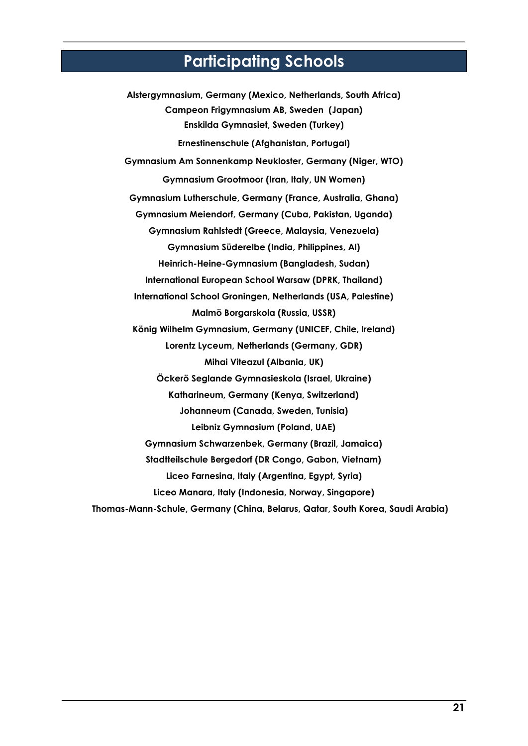### **Participating Schools**

<span id="page-20-0"></span>**Alstergymnasium, Germany (Mexico, Netherlands, South Africa) Campeon Frigymnasium AB, Sweden (Japan) Enskilda Gymnasiet, Sweden (Turkey) Ernestinenschule (Afghanistan, Portugal) Gymnasium Am Sonnenkamp Neukloster, Germany (Niger, WTO) Gymnasium Grootmoor (Iran, Italy, UN Women) Gymnasium Lutherschule, Germany (France, Australia, Ghana) Gymnasium Meiendorf, Germany (Cuba, Pakistan, Uganda) Gymnasium Rahlstedt (Greece, Malaysia, Venezuela) Gymnasium Süderelbe (India, Philippines, Al) Heinrich-Heine-Gymnasium (Bangladesh, Sudan) International European School Warsaw (DPRK, Thailand) International School Groningen, Netherlands (USA, Palestine) Malmö Borgarskola (Russia, USSR) König Wilhelm Gymnasium, Germany (UNICEF, Chile, Ireland) Lorentz Lyceum, Netherlands (Germany, GDR) Mihai Viteazul (Albania, UK) Öckerö Seglande Gymnasieskola (Israel, Ukraine) Katharineum, Germany (Kenya, Switzerland) Johanneum (Canada, Sweden, Tunisia) Leibniz Gymnasium (Poland, UAE) Gymnasium Schwarzenbek, Germany (Brazil, Jamaica) Stadtteilschule Bergedorf (DR Congo, Gabon, Vietnam) Liceo Farnesina, Italy (Argentina, Egypt, Syria) Liceo Manara, Italy (Indonesia, Norway, Singapore) Thomas-Mann-Schule, Germany (China, Belarus, Qatar, South Korea, Saudi Arabia)**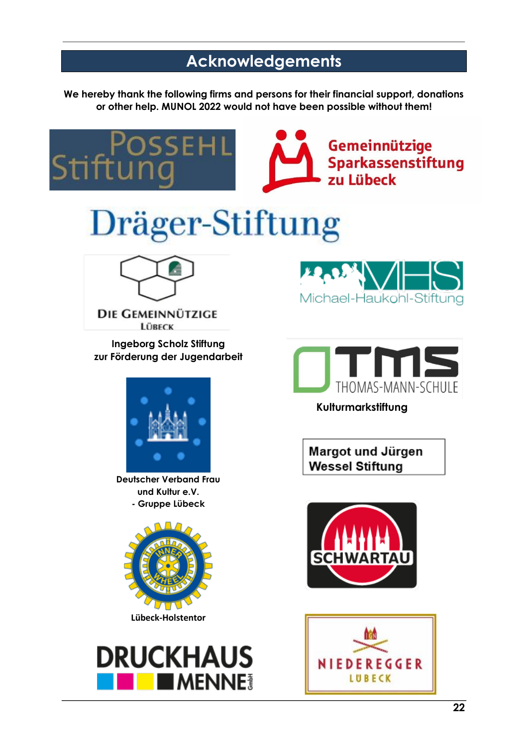### **Acknowledgements**

<span id="page-21-0"></span>**We hereby thank the following firms and persons for their financial support, donations or other help. MUNOL 2022 would not have been possible without them!**

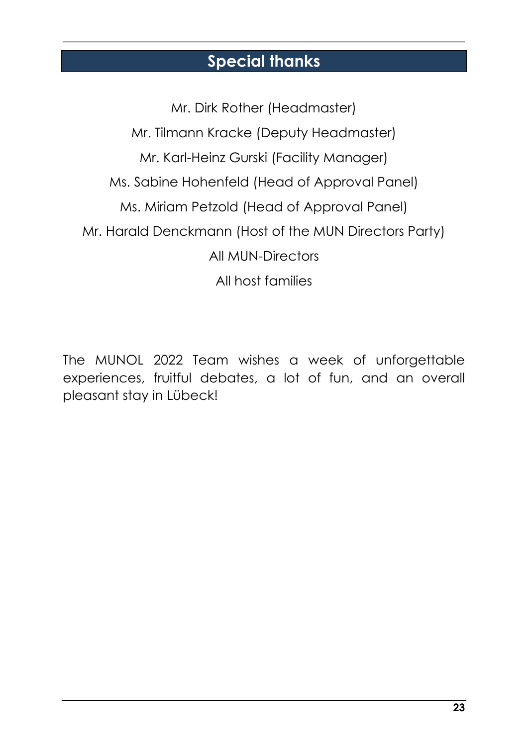### **Special thanks**

<span id="page-22-0"></span>Mr. Dirk Rother (Headmaster) Mr. Tilmann Kracke (Deputy Headmaster) Mr. Karl-Heinz Gurski (Facility Manager) Ms. Sabine Hohenfeld (Head of Approval Panel) Ms. Miriam Petzold (Head of Approval Panel) Mr. Harald Denckmann (Host of the MUN Directors Party) All MUN-Directors All host families

The MUNOL 2022 Team wishes a week of unforgettable experiences, fruitful debates, a lot of fun, and an overall pleasant stay in Lübeck!